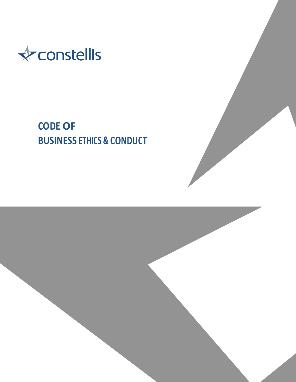

# **CODE OF BUSINESS ETHICS & CONDUCT**

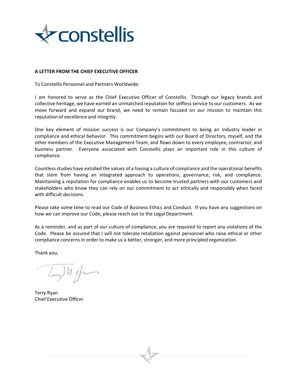

# **A LETTER FROM THE CHIEF EXECUTIVE OFFICER**

To Constellis Personnel and Partners Worldwide:

I am honored to serve as the Chief Executive Officer of Constellis. Through our legacy brands and collective heritage, we have earned an unmatched reputation for selfless service to our customers. As we move forward and expand our brand, we need to remain focused on our mission to maintain this reputation of excellence and integrity.

One key element of mission success is our Company's commitment to being an industry leader in compliance and ethical behavior. This commitment begins with our Board of Directors, myself, and the other members of the Executive Management Team, and flows down to every employee, contractor, and business partner. Everyone associated with Constellis plays an important role in this culture of compliance.

Countlessstudies have extolled the values of a having a culture of compliance and the operational benefits that stem from having an integrated approach to operations, governance, risk, and compliance. Maintaining a reputation for compliance enables us to become trusted partners with our customers and stakeholders who know they can rely on our commitment to act ethically and responsibly when faced with difficult decisions.

Please take some time to read our Code of Business Ethics and Conduct. If you have any suggestions on how we can improve our Code, please reach out to the Legal Department.

As a reminder, and as part of our culture of compliance, you are required to report any violations of the Code. Please be assured that I will not tolerate retaliation against personnel who raise ethical or other compliance concerns in order to make us a better, stronger, and more principled organization.

Thank you,

 $\mathbb{L}^m$ 

Terry Ryan Chief Executive Officer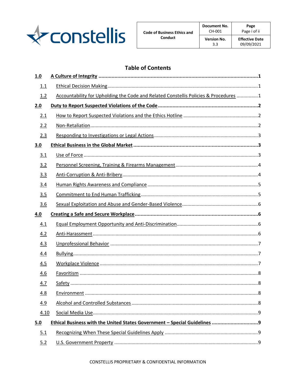

# **Table of Contents**

| 1.0  |                                                                                      |  |  |
|------|--------------------------------------------------------------------------------------|--|--|
| 1.1  |                                                                                      |  |  |
| 1.2  | Accountability for Upholding the Code and Related Constellis Policies & Procedures 1 |  |  |
| 2.0  |                                                                                      |  |  |
| 2.1  |                                                                                      |  |  |
| 2.2  |                                                                                      |  |  |
| 2.3  |                                                                                      |  |  |
| 3.0  |                                                                                      |  |  |
| 3.1  |                                                                                      |  |  |
| 3.2  |                                                                                      |  |  |
| 3.3  |                                                                                      |  |  |
| 3.4  |                                                                                      |  |  |
| 3.5  |                                                                                      |  |  |
| 3.6  |                                                                                      |  |  |
|      |                                                                                      |  |  |
| 4.0  |                                                                                      |  |  |
| 4.1  |                                                                                      |  |  |
| 4.2  |                                                                                      |  |  |
| 4.3  |                                                                                      |  |  |
| 4.4  |                                                                                      |  |  |
| 4.5  |                                                                                      |  |  |
| 4.6  |                                                                                      |  |  |
| 4.7  |                                                                                      |  |  |
| 4.8  |                                                                                      |  |  |
| 4.9  |                                                                                      |  |  |
| 4.10 |                                                                                      |  |  |
| 5.0  |                                                                                      |  |  |
| 5.1  |                                                                                      |  |  |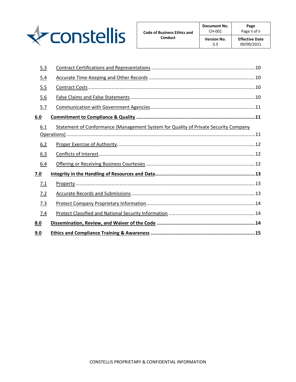

| 5.3 |                                                                                     |
|-----|-------------------------------------------------------------------------------------|
| 5.4 |                                                                                     |
| 5.5 |                                                                                     |
| 5.6 |                                                                                     |
| 5.7 |                                                                                     |
| 6.0 |                                                                                     |
| 6.1 | Statement of Conformance (Management System for Quality of Private Security Company |
| 6.2 |                                                                                     |
| 6.3 |                                                                                     |
| 6.4 |                                                                                     |
| 7.0 |                                                                                     |
| 7.1 |                                                                                     |
| 7.2 |                                                                                     |
| 7.3 |                                                                                     |
| 7.4 |                                                                                     |
| 8.0 |                                                                                     |
| 9.0 |                                                                                     |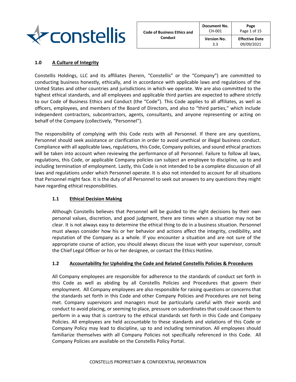

| <b>Code of Business Ethics and</b> | <b>Document No.</b><br>CH-001 | Page<br>Page 1 of 15  |
|------------------------------------|-------------------------------|-----------------------|
| Conduct                            | <b>Version No.</b>            | <b>Effective Date</b> |
|                                    | 3.3                           | 09/09/2021            |

# <span id="page-4-0"></span>**1.0 A Culture of Integrity**

Constellis Holdings, LLC and its affiliates (herein, "Constellis" or the "Company") are committed to conducting business honestly, ethically, and in accordance with applicable laws and regulations of the United States and other countries and jurisdictions in which we operate. We are also committed to the highest ethical standards, and all employees and applicable third parties are expected to adhere strictly to our Code of Business Ethics and Conduct (the "Code"). This Code applies to all affiliates, as well as officers, employees, and members of the Board of Directors, and also to "third parties," which include independent contractors, subcontractors, agents, consultants, and anyone representing or acting on behalf of the Company (collectively, "Personnel").

The responsibility of complying with this Code rests with all Personnel. If there are any questions, Personnel should seek assistance or clarification in order to avoid unethical or illegal business conduct. Compliance with all applicable laws, regulations, this Code, Company policies, and sound ethical practices will be taken into account when reviewing the performance of all Personnel. Failure to follow all laws, regulations, this Code, or applicable Company policies can subject an employee to discipline, up to and including termination of employment. Lastly, this Code is not intended to be a complete discussion of all laws and regulations under which Personnel operate. It is also not intended to account for all situations that Personnel might face. It is the duty of all Personnel to seek out answers to any questions they might have regarding ethical responsibilities.

# <span id="page-4-1"></span>**1.1 Ethical Decision Making**

Although Constellis believes that Personnel will be guided to the right decisions by their own personal values, discretion, and good judgment, there are times when a situation may not be clear. It is not always easy to determine the ethical thing to do in a business situation. Personnel must always consider how his or her behavior and actions affect the integrity, credibility, and reputation of the Company as a whole. If you encounter a situation and are not sure of the appropriate course of action, you should always discuss the issue with your supervisor, consult the Chief Legal Officer or his or her designee, or contact the Ethics Hotline.

# <span id="page-4-2"></span>**1.2 Accountability for Upholding the Code and Related Constellis Policies & Procedures**

All Company employees are responsible for adherence to the standards of conduct set forth in this Code as well as abiding by all Constellis Policies and Procedures that govern their employment. All Company employees are also responsible for raising questions or concerns that the standards set forth in this Code and other Company Policies and Procedures are not being met. Company supervisors and managers must be particularly careful with their words and conduct to avoid placing, or seeming to place, pressure on subordinates that could cause them to perform in a way that is contrary to the ethical standards set forth in this Code and Company Policies. All employees are held accountable to these standards and violations of this Code or Company Policy may lead to discipline, up to and including termination. All employees should familiarize themselves with all Company Policies not specifically referenced in this Code. All Company Policies are available on the Constellis Policy Portal.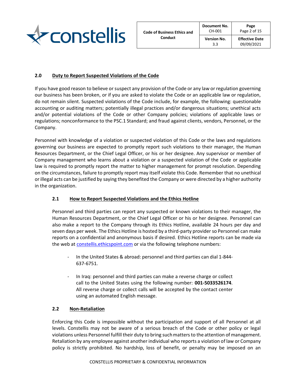

# <span id="page-5-0"></span>**2.0 Duty to Report Suspected Violations of the Code**

If you have good reason to believe or suspect any provision of the Code or any law or regulation governing our business has been broken, or if you are asked to violate the Code or an applicable law or regulation, do not remain silent. Suspected violations of the Code include, for example, the following: questionable accounting or auditing matters; potentially illegal practices and/or dangerous situations; unethical acts and/or potential violations of the Code or other Company policies; violations of applicable laws or regulations; nonconformance to the PSC.1 Standard; and fraud against clients, vendors, Personnel, or the Company.

Personnel with knowledge of a violation or suspected violation of this Code or the laws and regulations governing our business are expected to promptly report such violations to their manager, the Human Resources Department, or the Chief Legal Officer, or his or her designee. Any supervisor or member of Company management who learns about a violation or a suspected violation of the Code or applicable law is required to promptly report the matter to higher management for prompt resolution. Depending on the circumstances, failure to promptly report may itself violate this Code. Remember that no unethical or illegal acts can be justified by saying they benefited the Company or were directed by a higher authority in the organization.

# <span id="page-5-1"></span>**2.1 How to Report Suspected Violations and the Ethics Hotline**

Personnel and third parties can report any suspected or known violations to their manager, the Human Resources Department, or the Chief Legal Officer or his or her designee. Personnel can also make a report to the Company through its Ethics Hotline, available 24 hours per day and seven days per week. The Ethics Hotline is hosted by a third-party provider so Personnel can make reports on a confidential and anonymous basis if desired. Ethics Hotline reports can be made via the web at [constellis.ethicspoint.com](https://secure.ethicspoint.com/domain/media/en/gui/50145/index.html) or via the following telephone numbers:

- In the United States & abroad: personnel and third parties can dial 1-844- 637-6751.
- In Iraq: personnel and third parties can make a reverse charge or collect call to the United States using the following number: **001-5033526174**. All reverse charge or collect calls will be accepted by the contact center using an automated English message.

# <span id="page-5-2"></span>**2.2 Non-Retaliation**

Enforcing this Code is impossible without the participation and support of all Personnel at all levels. Constellis may not be aware of a serious breach of the Code or other policy or legal violations unless Personnel fulfill their duty to bring such matters to the attention of management. Retaliation by any employee against another individual who reports a violation of law or Company policy is strictly prohibited. No hardship, loss of benefit, or penalty may be imposed on an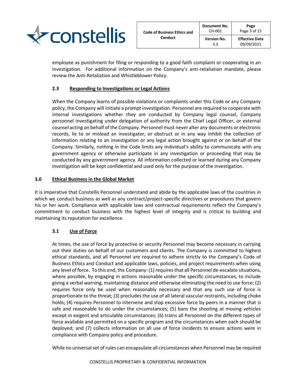

employee as punishment for filing or responding to a good faith complaint or cooperating in an investigation. For additional information on the Company's anti-retaliation mandate, please review the Anti-Retaliation and Whistleblower Policy.

# <span id="page-6-0"></span>**2.3 Responding to Investigations or Legal Actions**

When the Company learns of possible violations or complaints under this Code or any Company policy, the Company will initiate a prompt investigation. Personnel are required to cooperate with internal investigations whether they are conducted by Company legal counsel, Company personnel investigating under delegation of authority from the Chief Legal Officer, or external counsel acting on behalf of the Company. Personnel must never alter any documents or electronic records, lie to or mislead an investigator, or obstruct or in any way inhibit the collection of information relating to an investigation or any legal action brought against or on behalf of the Company. Similarly, nothing in the Code limits any individual's ability to communicate with any government agency or otherwise participate in any investigation or proceeding that may be conducted by any government agency. All information collected or learned during any Company investigation will be kept confidential and used only for the purpose of the investigation.

# <span id="page-6-1"></span>**3.0 Ethical Business in the Global Market**

It is imperative that Constellis Personnel understand and abide by the applicable laws of the countries in which we conduct business as well as any contract/project-specific directives or procedures that govern his or her work. Compliance with applicable laws and contractual requirements reflect the Company's commitment to conduct business with the highest level of integrity and is critical to building and maintaining its reputation for excellence.

# <span id="page-6-2"></span>**3.1 Use of Force**

At times, the use of force by protective or security Personnel may become necessary in carrying out their duties on behalf of our customers and clients. The Company is committed to highest ethical standards, and all Personnel are required to adhere strictly to the Company's Code of Business Ethics and Conduct and applicable laws, policies, and project requirements when using any level of force. To this end, the Company: (1) requires that all Personnel de-escalate situations, where possible, by engaging in actions reasonable under the specific circumstances, to include giving a verbal warning, maintaining distance and otherwise eliminating the need to use force; (2) requires force only be used when reasonably necessary and that any such use of force is proportionate to the threat; (3) precludes the use of all lateral vascular restraints, including choke holds; (4) requires Personnel to intervene and stop excessive force by peers in a manner that is safe and reasonable to do under the circumstances; (5) bans the shooting at moving vehicles except in exigent and articulable circumstances; (6) trains all Personnel on the different types of force available and permitted on a specific program and the circumstances when each should be deployed; and (7) collects information on all use of force incidents to ensure actions were in compliance with Company policy and procedure.

While no universal set of rules can encapsulate all circumstances when Personnel may be required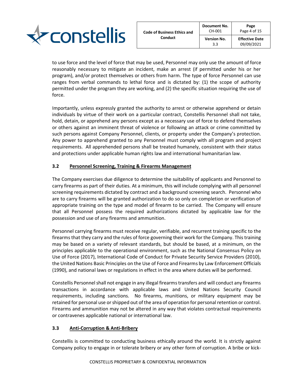

to use force and the level of force that may be used, Personnel may only use the amount of force reasonably necessary to mitigate an incident, make an arrest (if permitted under his or her program), and/or protect themselves or others from harm. The type of force Personnel can use ranges from verbal commands to lethal force and is dictated by: (1) the scope of authority permitted under the program they are working, and (2) the specific situation requiring the use of force.

Importantly, unless expressly granted the authority to arrest or otherwise apprehend or detain individuals by virtue of their work on a particular contract, Constellis Personnel shall not take, hold, detain, or apprehend any persons except as a necessary use of force to defend themselves or others against an imminent threat of violence or following an attack or crime committed by such persons against Company Personnel, clients, or property under the Company's protection. Any power to apprehend granted to any Personnel must comply with all program and project requirements. All apprehended persons shall be treated humanely, consistent with their status and protections under applicable human rights law and international humanitarian law.

# <span id="page-7-0"></span>**3.2 Personnel Screening, Training & Firearms Management**

The Company exercises due diligence to determine the suitability of applicants and Personnel to carry firearms as part of their duties. At a minimum, this will include complying with all personnel screening requirements dictated by contract and a background screening search. Personnel who are to carry firearms will be granted authorization to do so only on completion or verification of appropriate training on the type and model of firearm to be carried. The Company will ensure that all Personnel possess the required authorizations dictated by applicable law for the possession and use of any firearms and ammunition.

Personnel carrying firearms must receive regular, verifiable, and recurrent training specific to the firearms that they carry and the rules of force governing their work for the Company. This training may be based on a variety of relevant standards, but should be based, at a minimum, on the principles applicable to the operational environment, such as the National Consensus Policy on Use of Force (2017), International Code of Conduct for Private Security Service Providers (2010), the United Nations Basic Principles on the Use of Force and Firearms by Law Enforcement Officials (1990), and national laws or regulations in effect in the area where duties will be performed.

Constellis Personnel shall not engage in any illegal firearms transfers and will conduct any firearms transactions in accordance with applicable laws and United Nations Security Council requirements, including sanctions. No firearms, munitions, or military equipment may be retained for personal use or shipped out of the area of operation for personal retention or control. Firearms and ammunition may not be altered in any way that violates contractual requirements or contravenes applicable national or international law.

# <span id="page-7-1"></span>**3.3 Anti-Corruption & Anti-Bribery**

Constellis is committed to conducting business ethically around the world. It is strictly against Company policy to engage in or tolerate bribery or any other form of corruption. A bribe or kick-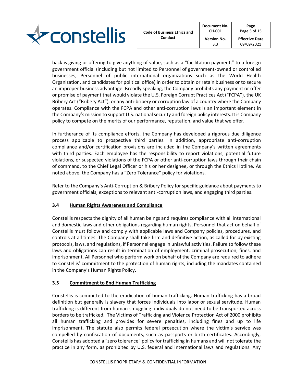

back is giving or offering to give anything of value, such as a "facilitation payment," to a foreign government official (including but not limited to Personnel of government-owned or controlled businesses, Personnel of public international organizations such as the World Health Organization, and candidates for political office) in order to obtain or retain business or to secure an improper business advantage. Broadly speaking, the Company prohibits any payment or offer or promise of payment that would violate the U.S. Foreign Corrupt Practices Act ("FCPA"), the UK Bribery Act ("Bribery Act"), or any anti-bribery or corruption law of a country where the Company operates. Compliance with the FCPA and other anti-corruption laws is an important element in the Company's mission to support U.S. national security and foreign policy interests. It is Company policy to compete on the merits of our performance, reputation, and value that we offer.

In furtherance of its compliance efforts, the Company has developed a rigorous due diligence process applicable to prospective third parties. In addition, appropriate anti-corruption compliance and/or certification provisions are included in the Company's written agreements with third parties. Each employee has the responsibility to report violations, potential future violations, or suspected violations of the FCPA or other anti-corruption laws through their chain of command, to the Chief Legal Officer or his or her designee, or through the Ethics Hotline. As noted above, the Company has a "Zero Tolerance" policy for violations.

Refer to the Company's Anti-Corruption & Bribery Policy for specific guidance about payments to government officials, exceptions to relevant anti-corruption laws, and engaging third parties.

# <span id="page-8-0"></span>**3.4 Human Rights Awareness and Compliance**

Constellis respects the dignity of all human beings and requires compliance with all international and domestic laws and other obligations regarding human rights, Personnel that act on behalf of Constellis must follow and comply with applicable laws and Company policies, procedures, and controls at all times. The Company shall take firm and definitive action, as called for by existing protocols, laws, and regulations, if Personnel engage in unlawful activities. Failure to follow these laws and obligations can result in termination of employment, criminal prosecution, fines, and imprisonment. All Personnel who perform work on behalf of the Company are required to adhere to Constellis' commitment to the protection of human rights, including the mandates contained in the Company's Human Rights Policy.

# <span id="page-8-1"></span>**3.5 Commitment to End Human Trafficking**

Constellis is committed to the eradication of human trafficking. Human trafficking has a broad definition but generally is slavery that forces individuals into labor or sexual servitude. Human trafficking is different from human smuggling: individuals do not need to be transported across borders to be trafficked. The Victims of Trafficking and Violence Protection Act of 2000 prohibits all human trafficking and provides for severe penalties, including fines and up to life imprisonment. The statute also permits federal prosecution where the victim's service was compelled by confiscation of documents, such as passports or birth certificates. Accordingly, Constellis has adopted a "zero tolerance" policy for trafficking in humans and will not tolerate the practice in any form, as prohibited by U.S. federal and international laws and regulations. Any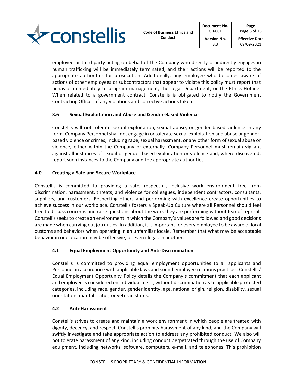

employee or third party acting on behalf of the Company who directly or indirectly engages in human trafficking will be immediately terminated, and their actions will be reported to the appropriate authorities for prosecution. Additionally, any employee who becomes aware of actions of other employees or subcontractors that appear to violate this policy must report that behavior immediately to program management, the Legal Department, or the Ethics Hotline. When related to a government contract, Constellis is obligated to notify the Government Contracting Officer of any violations and corrective actions taken.

# <span id="page-9-0"></span>**3.6 Sexual Exploitation and Abuse and Gender-Based Violence**

Constellis will not tolerate sexual exploitation, sexual abuse, or gender-based violence in any form. Company Personnel shall not engage in or tolerate sexual exploitation and abuse or genderbased violence or crimes, including rape, sexual harassment, or any other form of sexual abuse or violence, either within the Company or externally. Company Personnel must remain vigilant against all instances of sexual or gender-based exploitation or violence and, where discovered, report such instances to the Company and the appropriate authorities.

# <span id="page-9-1"></span>**4.0 Creating a Safe and Secure Workplace**

Constellis is committed to providing a safe, respectful, inclusive work environment free from discrimination, harassment, threats, and violence for colleagues, independent contractors, consultants, suppliers, and customers. Respecting others and performing with excellence create opportunities to achieve success in our workplace. Constellis fosters a Speak-Up Culture where all Personnel should feel free to discuss concerns and raise questions about the work they are performing without fear of reprisal. Constellis seeks to create an environment in which the Company's values are followed and good decisions are made when carrying out job duties. In addition, it is important for every employee to be aware of local customs and behaviors when operating in an unfamiliar locale. Remember that what may be acceptable behavior in one location may be offensive, or even illegal, in another.

# <span id="page-9-2"></span>**4.1 Equal Employment Opportunity and Anti-Discrimination**

Constellis is committed to providing equal employment opportunities to all applicants and Personnel in accordance with applicable laws and sound employee relations practices. Constellis' Equal Employment Opportunity Policy details the Company's commitment that each applicant and employee is considered on individual merit, without discrimination as to applicable protected categories, including race, gender, gender identity, age, national origin, religion, disability, sexual orientation, marital status, or veteran status.

# <span id="page-9-3"></span>**4.2 Anti-Harassment**

Constellis strives to create and maintain a work environment in which people are treated with dignity, decency, and respect. Constellis prohibits harassment of any kind, and the Company will swiftly investigate and take appropriate action to address any prohibited conduct. We also will not tolerate harassment of any kind, including conduct perpetrated through the use of Company equipment, including networks, software, computers, e-mail, and telephones. This prohibition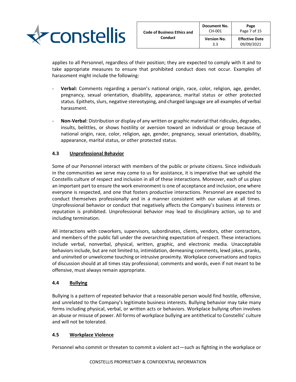

applies to all Personnel, regardless of their position; they are expected to comply with it and to take appropriate measures to ensure that prohibited conduct does not occur. Examples of harassment might include the following:

- **Verbal:** Comments regarding a person's national origin, race, color, religion, age, gender, pregnancy, sexual orientation, disability, appearance, marital status or other protected status. Epithets, slurs, negative stereotyping, and charged language are all examples of verbal harassment.
- **Non-Verbal**: Distribution or display of any written or graphic material that ridicules, degrades, insults, belittles, or shows hostility or aversion toward an individual or group because of national origin, race, color, religion, age, gender, pregnancy, sexual orientation, disability, appearance, marital status, or other protected status.

# <span id="page-10-0"></span>**4.3 Unprofessional Behavior**

Some of our Personnel interact with members of the public or private citizens. Since individuals in the communities we serve may come to us for assistance, it is imperative that we uphold the Constellis culture of respect and inclusion in all of these interactions. Moreover, each of us plays an important part to ensure the work environment is one of acceptance and inclusion, one where everyone is respected, and one that fosters productive interactions. Personnel are expected to conduct themselves professionally and in a manner consistent with our values at all times. Unprofessional behavior or conduct that negatively affects the Company's business interests or reputation is prohibited. Unprofessional behavior may lead to disciplinary action, up to and including termination.

All interactions with coworkers, supervisors, subordinates, clients, vendors, other contractors, and members of the public fall under the overarching expectation of respect. These interactions include verbal, nonverbal, physical, written, graphic, and electronic media. Unacceptable behaviors include, but are not limited to, intimidation, demeaning comments, lewd jokes, pranks, and uninvited or unwelcome touching or intrusive proximity. Workplace conversations and topics of discussion should at all times stay professional; comments and words, even if not meant to be offensive, must always remain appropriate.

# <span id="page-10-1"></span>**4.4 Bullying**

Bullying is a pattern of repeated behavior that a reasonable person would find hostile, offensive, and unrelated to the Company's legitimate business interests. Bullying behavior may take many forms including physical, verbal, or written acts or behaviors. Workplace bullying often involves an abuse or misuse of power. All forms of workplace bullying are antithetical to Constellis' culture and will not be tolerated.

# <span id="page-10-2"></span>**4.5 Workplace Violence**

Personnel who commit or threaten to commit a violent act—such as fighting in the workplace or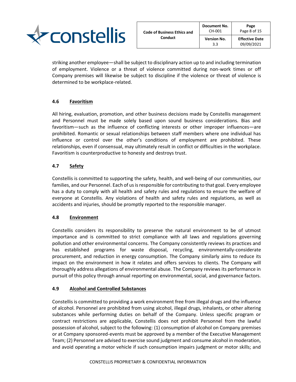

striking another employee—shall be subject to disciplinary action up to and including termination of employment. Violence or a threat of violence committed during non-work times or off Company premises will likewise be subject to discipline if the violence or threat of violence is determined to be workplace-related.

# <span id="page-11-0"></span>**4.6 Favoritism**

All hiring, evaluation, promotion, and other business decisions made by Constellis management and Personnel must be made solely based upon sound business considerations. Bias and favoritism—such as the influence of conflicting interests or other improper influences—are prohibited. Romantic or sexual relationships between staff members where one individual has influence or control over the other's conditions of employment are prohibited. These relationships, even if consensual, may ultimately result in conflict or difficulties in the workplace. Favoritism is counterproductive to honesty and destroys trust.

# <span id="page-11-1"></span>**4.7 Safety**

Constellis is committed to supporting the safety, health, and well-being of our communities, our families, and our Personnel. Each of us is responsible for contributing to that goal. Every employee has a duty to comply with all health and safety rules and regulations to ensure the welfare of everyone at Constellis. Any violations of health and safety rules and regulations, as well as accidents and injuries, should be promptly reported to the responsible manager.

# <span id="page-11-2"></span>**4.8 Environment**

Constellis considers its responsibility to preserve the natural environment to be of utmost importance and is committed to strict compliance with all laws and regulations governing pollution and other environmental concerns. The Company consistently reviews its practices and has established programs for waste disposal, recycling, environmentally-considerate procurement, and reduction in energy consumption. The Company similarly aims to reduce its impact on the environment in how it relates and offers services to clients. The Company will thoroughly address allegations of environmental abuse. The Company reviews its performance in pursuit of this policy through annual reporting on environmental, social, and governance factors.

# <span id="page-11-3"></span>**4.9 Alcohol and Controlled Substances**

Constellis is committed to providing a work environment free from illegal drugs and the influence of alcohol. Personnel are prohibited from using alcohol, illegal drugs, inhalants, or other altering substances while performing duties on behalf of the Company. Unless specific program or contract restrictions are applicable, Constellis does not prohibit Personnel from the lawful possession of alcohol, subject to the following: (1) consumption of alcohol on Company premises or at Company sponsored-events must be approved by a member of the Executive Management Team; (2) Personnel are advised to exercise sound judgment and consume alcohol in moderation, and avoid operating a motor vehicle if such consumption impairs judgment or motor skills; and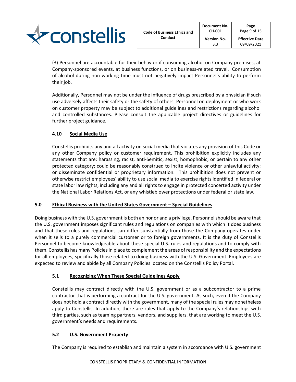

(3) Personnel are accountable for their behavior if consuming alcohol on Company premises, at Company-sponsored events, at business functions, or on business-related travel. Consumption of alcohol during non-working time must not negatively impact Personnel's ability to perform their job.

Additionally, Personnel may not be under the influence of drugs prescribed by a physician if such use adversely affects their safety or the safety of others. Personnel on deployment or who work on customer property may be subject to additional guidelines and restrictions regarding alcohol and controlled substances. Please consult the applicable project directives or guidelines for further project guidance.

# <span id="page-12-0"></span>**4.10 Social Media Use**

Constellis prohibits any and all activity on social media that violates any provision of this Code or any other Company policy or customer requirement. This prohibition explicitly includes any statements that are: harassing, racist, anti-Semitic, sexist, homophobic, or pertain to any other protected category; could be reasonably construed to incite violence or other unlawful activity; or disseminate confidential or proprietary information. This prohibition does not prevent or otherwise restrict employees' ability to use social media to exercise rights identified in federal or state labor law rights, including any and all rights to engage in protected concerted activity under the National Labor Relations Act, or any whistleblower protections under federal or state law.

# <span id="page-12-1"></span>**5.0 Ethical Business with the United States Government – Special Guidelines**

Doing business with the U.S. government is both an honor and a privilege. Personnel should be aware that the U.S. government imposes significant rules and regulations on companies with which it does business and that these rules and regulations can differ substantially from those the Company operates under when it sells to a purely commercial customer or to foreign governments. It is the duty of Constellis Personnel to become knowledgeable about these special U.S. rules and regulations and to comply with them. Constellis has many Policies in place to complement the areas of responsibility and the expectations for all employees, specifically those related to doing business with the U.S. Government. Employees are expected to review and abide by all Company Policies located on the Constellis Policy Portal.

# <span id="page-12-2"></span>**5.1 Recognizing When These Special Guidelines Apply**

Constellis may contract directly with the U.S. government or as a subcontractor to a prime contractor that is performing a contract for the U.S. government. As such, even if the Company does not hold a contract directly with the government, many of the special rules may nonetheless apply to Constellis. In addition, there are rules that apply to the Company's relationships with third parties, such as teaming partners, vendors, and suppliers, that are working to meet the U.S. government's needs and requirements.

# <span id="page-12-3"></span>**5.2 U.S. Government Property**

The Company is required to establish and maintain a system in accordance with U.S. government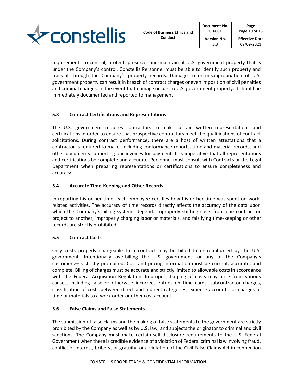

requirements to control, protect, preserve, and maintain all U.S. government property that is under the Company's control. Constellis Personnel must be able to identify such property and track it through the Company's property records. Damage to or misappropriation of U.S. government property can result in breach of contract charges or even imposition of civil penalties and criminal charges. In the event that damage occurs to U.S. government property, it should be immediately documented and reported to management.

# <span id="page-13-0"></span>**5.3 Contract Certifications and Representations**

The U.S. government requires contractors to make certain written representations and certifications in order to ensure that prospective contractors meet the qualifications of contract solicitations. During contract performance, there are a host of written attestations that a contractor is required to make, including conformance reports, time and material records, and other documents supporting our invoices for payment. It is imperative that all representations and certifications be complete and accurate. Personnel must consult with Contracts or the Legal Department when preparing representations or certifications to ensure completeness and accuracy.

# <span id="page-13-1"></span>**5.4 Accurate Time-Keeping and Other Records**

In reporting his or her time, each employee certifies how his or her time was spent on workrelated activities. The accuracy of time records directly affects the accuracy of the data upon which the Company's billing systems depend. Improperly shifting costs from one contract or project to another, improperly charging labor or materials, and falsifying time-keeping or other records are strictly prohibited.

# <span id="page-13-2"></span>**5.5 Contract Costs**

Only costs properly chargeable to a contract may be billed to or reimbursed by the U.S. government. Intentionally overbilling the U.S. government—or any of the Company's customers—is strictly prohibited. Cost and pricing information must be current, accurate, and complete. Billing of charges must be accurate and strictly limited to allowable costs in accordance with the Federal Acquisition Regulation. Improper charging of costs may arise from various causes, including false or otherwise incorrect entries on time cards, subcontractor charges, classification of costs between direct and indirect categories, expense accounts, or charges of time or materials to a work order or other cost account.

# <span id="page-13-3"></span>**5.6 False Claims and False Statements**

The submission of false claims and the making of false statements to the government are strictly prohibited by the Company as well as by U.S. law, and subjects the originator to criminal and civil sanctions. The Company must make certain self-disclosure requirements to the U.S. Federal Government when there is credible evidence of a violation of Federal criminal law involving fraud, conflict of interest, bribery, or gratuity, or a violation of the Civil False Claims Act in connection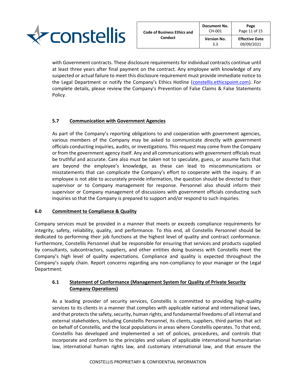

with Government contracts. These disclosure requirements for individual contracts continue until at least three years after final payment on the contract. Any employee with knowledge of any suspected or actual failure to meet this disclosure requirement must provide immediate notice to the Legal Department or notify the Company's Ethics Hotline ([constellis.ethicspoint.com\)](file:///C:/Users/Todd.Rouse/AppData/Local/Microsoft/Windows/INetCache/Content.Outlook/8ABSBZ0N/constellis.ethicspoint.com). For complete details, please review the Company's Prevention of False Claims & False Statements Policy.

# <span id="page-14-0"></span>**5.7 Communication with Government Agencies**

As part of the Company's reporting obligations to and cooperation with government agencies, various members of the Company may be asked to communicate directly with government officials conducting inquiries, audits, or investigations. This request may come from the Company or from the government agency itself. Any and all communications with government officials must be truthful and accurate. Care also must be taken not to speculate, guess, or assume facts that are beyond the employee's knowledge, as these can lead to miscommunications or misstatements that can complicate the Company's effort to cooperate with the inquiry. If an employee is not able to accurately provide information, the question should be directed to their supervisor or to Company management for response. Personnel also should inform their supervisor or Company management of discussions with government officials conducting such inquiries so that the Company is prepared to support and/or respond to such inquiries.

# <span id="page-14-1"></span>**6.0 Commitment to Compliance & Quality**

Company services must be provided in a manner that meets or exceeds compliance requirements for integrity, safety, reliability, quality, and performance. To this end, all Constellis Personnel should be dedicated to performing their job functions at the highest level of quality and contract conformance. Furthermore, Constellis Personnel shall be responsible for ensuring that services and products supplied by consultants, subcontractors, suppliers, and other entities doing business with Constellis meet the Company's high level of quality expectations. Compliance and quality is expected throughout the Company's supply chain. Report concerns regarding any non-compliancy to your manager or the Legal Department.

# <span id="page-14-2"></span>**6.1 Statement of Conformance (Management System for Quality of Private Security Company Operations)**

As a leading provider of security services, Constellis is committed to providing high-quality services to its clients in a manner that complies with applicable national and international laws, and that protects the safety, security, human rights, and fundamental freedoms of all internal and external stakeholders, including Constellis Personnel, its clients, suppliers, third parties that act on behalf of Constellis, and the local populations in areas where Constellis operates. To that end, Constellis has developed and implemented a set of policies, procedures, and controls that incorporate and conform to the principles and values of applicable international humanitarian law, international human rights law, and customary international law, and that ensure the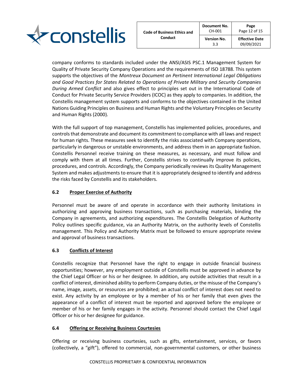

company conforms to standards included under the ANSI/ASIS PSC.1 Management System for Quality of Private Security Company Operations and the requirements of ISO 18788. This system supports the objectives of the *Montreux Document on Pertinent International Legal Obligations and Good Practices for States Related to Operations of Private Military and Security Companies During Armed Conflict* and also gives effect to principles set out in the International Code of Conduct for Private Security Service Providers (ICOC) as they apply to companies. In addition, the Constellis management system supports and conforms to the objectives contained in the United Nations Guiding Principles on Business and Human Rights and the Voluntary Principles on Security and Human Rights (2000).

With the full support of top management, Constellis has implemented policies, procedures, and controls that demonstrate and document its commitment to compliance with all laws and respect for human rights. These measures seek to identify the risks associated with Company operations, particularly in dangerous or unstable environments, and address them in an appropriate fashion. Constellis Personnel receive training on these measures, as necessary, and must follow and comply with them at all times. Further, Constellis strives to continually improve its policies, procedures, and controls. Accordingly, the Company periodically reviews its Quality Management System and makes adjustments to ensure that it is appropriately designed to identify and address the risks faced by Constellis and its stakeholders.

# <span id="page-15-0"></span>**6.2 Proper Exercise of Authority**

Personnel must be aware of and operate in accordance with their authority limitations in authorizing and approving business transactions, such as purchasing materials, binding the Company in agreements, and authorizing expenditures. The Constellis Delegation of Authority Policy outlines specific guidance, via an Authority Matrix, on the authority levels of Constellis management. This Policy and Authority Matrix must be followed to ensure appropriate review and approval of business transactions.

# <span id="page-15-1"></span>**6.3 Conflicts of Interest**

Constellis recognize that Personnel have the right to engage in outside financial business opportunities; however, any employment outside of Constellis must be approved in advance by the Chief Legal Officer or his or her designee. In addition, any outside activities that result in a conflict of interest, diminished ability to perform Company duties, or the misuse of the Company's name, image, assets, or resources are prohibited; an actual conflict of interest does not need to exist. Any activity by an employee or by a member of his or her family that even gives the appearance of a conflict of interest must be reported and approved before the employee or member of his or her family engages in the activity. Personnel should contact the Chief Legal Officer or his or her designee for guidance.

# <span id="page-15-2"></span>**6.4 Offering or Receiving Business Courtesies**

Offering or receiving business courtesies, such as gifts, entertainment, services, or favors (collectively, a "gift"), offered to commercial, non-governmental customers, or other business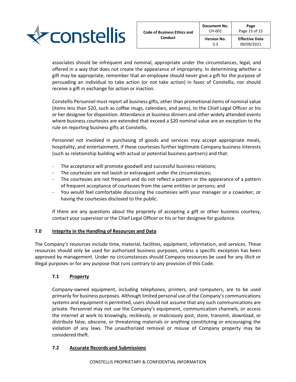

associates should be infrequent and nominal, appropriate under the circumstances, legal, and offered in a way that does not create the appearance of impropriety. In determining whether a gift may be appropriate, remember that an employee should never give a gift for the purpose of persuading an individual to take action (or not take action) in favor of Constellis, nor should receive a gift in exchange for action or inaction.

Constellis Personnel must report all business gifts, other than promotional items of nominal value (items less than \$20, such as coffee mugs, calendars, and pens), to the Chief Legal Officer or his or her designee for disposition. Attendance at business dinners and other widely attended events where business courtesies are extended that exceed a \$20 nominal value are an exception to the rule on reporting business gifts at Constellis.

Personnel not involved in purchasing of goods and services may accept appropriate meals, hospitality, and entertainment, if these courtesies further legitimate Company business interests (such as relationship building with actual or potential business partners) and that:

- The acceptance will promote goodwill and successful business relations;
- The courtesies are not lavish or extravagant under the circumstances;
- The courtesies are not frequent and do not reflect a pattern or the appearance of a pattern of frequent acceptance of courtesies from the same entities or persons; and
- You would feel comfortable discussing the courtesies with your manager or a coworker, or having the courtesies disclosed to the public.

If there are any questions about the propriety of accepting a gift or other business courtesy, contact your supervisor or the Chief Legal Officer or his or her designee for guidance.

# <span id="page-16-0"></span>**7.0 Integrity in the Handling of Resources and Data**

The Company's resources include time, material, facilities, equipment, information, and services. These resources should only be used for authorized business purposes, unless a specific exception has been approved by management. Under no circumstances should Company resources be used for any illicit or illegal purposes or for any purpose that runs contrary to any provision of this Code.

# <span id="page-16-1"></span>**7.1 Property**

Company-owned equipment, including telephones, printers, and computers, are to be used primarily for business purposes. Although limited personal use of the Company's communications systems and equipment is permitted, users should not assume that any such communications are private. Personnel may not use the Company's equipment, communication channels, or access the internet at work to knowingly, recklessly, or maliciously post, store, transmit, download, or distribute false, obscene, or threatening materials or anything constituting or encouraging the violation of any laws. The unauthorized removal or misuse of Company property may be considered theft.

# <span id="page-16-2"></span>**7.2 Accurate Records and Submissions**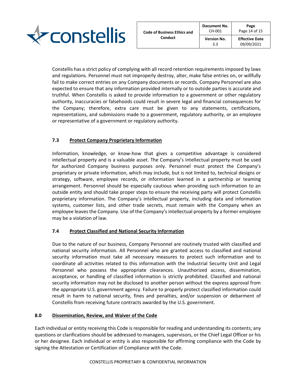

Constellis has a strict policy of complying with all record retention requirements imposed by laws and regulations. Personnel must not improperly destroy, alter, make false entries on, or willfully fail to make correct entries on any Company documents or records. Company Personnel are also expected to ensure that any information provided internally or to outside parties is accurate and truthful. When Constellis is asked to provide information to a government or other regulatory authority, inaccuracies or falsehoods could result in severe legal and financial consequences for the Company; therefore, extra care must be given to any statements, certifications, representations, and submissions made to a government, regulatory authority, or an employee or representative of a government or regulatory authority.

# <span id="page-17-0"></span>**7.3 Protect Company Proprietary Information**

Information, knowledge, or know-how that gives a competitive advantage is considered intellectual property and is a valuable asset. The Company's intellectual property must be used for authorized Company business purposes only. Personnel must protect the Company's proprietary or private information, which may include, but is not limited to, technical designs or strategy, software, employee records, or information learned in a partnership or teaming arrangement. Personnel should be especially cautious when providing such information to an outside entity and should take proper steps to ensure the receiving party will protect Constellis proprietary information. The Company's intellectual property, including data and information systems, customer lists, and other trade secrets, must remain with the Company when an employee leaves the Company. Use of the Company's intellectual property by a former employee may be a violation of law.

# <span id="page-17-1"></span>**7.4 Protect Classified and National Security Information**

Due to the nature of our business, Company Personnel are routinely trusted with classified and national security information. All Personnel who are granted access to classified and national security information must take all necessary measures to protect such information and to coordinate all activities related to this information with the Industrial Security Unit and Legal Personnel who possess the appropriate clearances. Unauthorized access, dissemination, acceptance, or handling of classified information is strictly prohibited. Classified and national security information may not be disclosed to another person without the express approval from the appropriate U.S. government agency. Failure to properly protect classified information could result in harm to national security, fines and penalties, and/or suspension or debarment of Constellis from receiving future contracts awarded by the U.S. government.

# <span id="page-17-2"></span>**8.0 Dissemination, Review, and Waiver of the Code**

Each individual or entity receiving this Code is responsible for reading and understanding its contents; any questions or clarifications should be addressed to managers, supervisors, or the Chief Legal Officer or his or her designee. Each individual or entity is also responsible for affirming compliance with the Code by signing the Attestation or Certification of Compliance with the Code.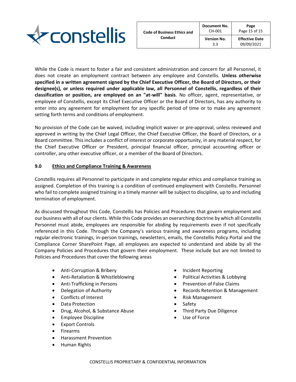

While the Code is meant to foster a fair and consistent administration and concern for all Personnel, it does not create an employment contract between any employee and Constellis. **Unless otherwise specified in a written agreement signed by the Chief Executive Officer, the Board of Directors, or their designee(s), or unless required under applicable law, all Personnel of Constellis, regardless of their classification or position, are employed on an "at-will" basis**. No officer, agent, representative, or employee of Constellis, except its Chief Executive Officer or the Board of Directors, has any authority to enter into any agreement for employment for any specific period of time or to make any agreement setting forth terms and conditions of employment.

No provision of the Code can be waived, including implicit waiver or pre-approval, unless reviewed and approved in writing by the Chief Legal Officer, the Chief Executive Officer, the Board of Directors, or a Board committee. This includes a conflict of interest or corporate opportunity, in any material respect, for the Chief Executive Officer or President, principal financial officer, principal accounting officer or controller, any other executive officer, or a member of the Board of Directors.

# <span id="page-18-0"></span>**9.0 Ethics and Compliance Training & Awareness**

Constellis requires all Personnel to participate in and complete regular ethics and compliance training as assigned. Completion of this training is a condition of continued employment with Constellis. Personnel who fail to complete assigned training in a timely manner will be subject to discipline, up to and including termination of employment.

As discussed throughout this Code, Constellis has Policies and Procedures that govern employment and our business with all of our clients. While this Code provides an overarching doctrine by which all Constellis Personnel must abide, employees are responsible for abiding by requirements even if not specifically referenced in this Code. Through the Company's various training and awareness programs, including regular electronic trainings, in-person trainings, newsletters, emails, the Constellis Policy Portal and the Compliance Corner SharePoint Page, all employees are expected to understand and abide by all the Company Policies and Procedures that govern their employment. These include but are not limited to Policies and Procedures that cover the following areas

- Anti-Corruption & Bribery
- Anti-Retaliation & Whistleblowing
- Anti-Trafficking in Persons
- Delegation of Authority
- Conflicts of Interest
- Data Protection
- Drug, Alcohol, & Substance Abuse
- Employee Discipline
- Export Controls
- **Firearms**
- Harassment Prevention
- Human Rights
- Incident Reporting
- Political Activities & Lobbying
- Prevention of False Claims
- Records Retention & Management
- Risk Management
- **Safety**
- Third Party Due Diligence
- Use of Force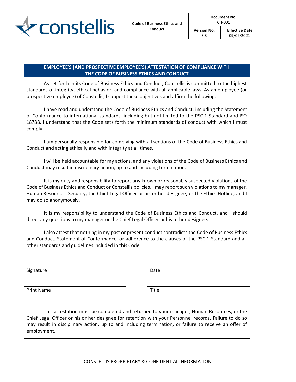

3.3

# **EMPLOYEE'S (AND PROSPECTIVE EMPLOYEE'S) ATTESTATION OF COMPLIANCE WITH THE CODE OF BUSINESS ETHICS AND CONDUCT**

As set forth in its Code of Business Ethics and Conduct, Constellis is committed to the highest standards of integrity, ethical behavior, and compliance with all applicable laws. As an employee (or prospective employee) of Constellis, I support these objectives and affirm the following:

I have read and understand the Code of Business Ethics and Conduct, including the Statement of Conformance to international standards, including but not limited to the PSC.1 Standard and ISO 18788. I understand that the Code sets forth the minimum standards of conduct with which I must comply.

I am personally responsible for complying with all sections of the Code of Business Ethics and Conduct and acting ethically and with integrity at all times.

I will be held accountable for my actions, and any violations of the Code of Business Ethics and Conduct may result in disciplinary action, up to and including termination.

It is my duty and responsibility to report any known or reasonably suspected violations of the Code of Business Ethics and Conduct or Constellis policies. I may report such violations to my manager, Human Resources, Security, the Chief Legal Officer or his or her designee, or the Ethics Hotline, and I may do so anonymously.

It is my responsibility to understand the Code of Business Ethics and Conduct, and I should direct any questions to my manager or the Chief Legal Officer or his or her designee.

I also attest that nothing in my past or present conduct contradicts the Code of Business Ethics and Conduct, Statement of Conformance, or adherence to the clauses of the PSC.1 Standard and all other standards and guidelines included in this Code.

Signature Date Date Date

Print Name Title

This attestation must be completed and returned to your manager, Human Resources, or the Chief Legal Officer or his or her designee for retention with your Personnel records. Failure to do so may result in disciplinary action, up to and including termination, or failure to receive an offer of employment.